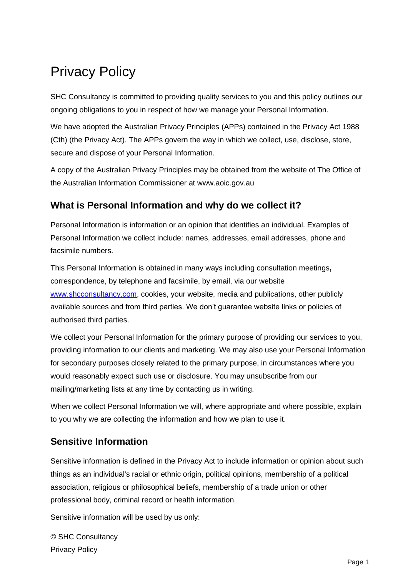# Privacy Policy

SHC Consultancy is committed to providing quality services to you and this policy outlines our ongoing obligations to you in respect of how we manage your Personal Information.

We have adopted the Australian Privacy Principles (APPs) contained in the Privacy Act 1988 (Cth) (the Privacy Act). The APPs govern the way in which we collect, use, disclose, store, secure and dispose of your Personal Information.

A copy of the Australian Privacy Principles may be obtained from the website of The Office of the Australian Information Commissioner at www.aoic.gov.au

## **What is Personal Information and why do we collect it?**

Personal Information is information or an opinion that identifies an individual. Examples of Personal Information we collect include: names, addresses, email addresses, phone and facsimile numbers.

This Personal Information is obtained in many ways including consultation meetings**,**  correspondence, by telephone and facsimile, by email, via our website [www.shcconsultancy.com,](http://www.shcconsultancy.com/) cookies, your website, media and publications, other publicly available sources and from third parties. We don't guarantee website links or policies of authorised third parties.

We collect your Personal Information for the primary purpose of providing our services to you, providing information to our clients and marketing. We may also use your Personal Information for secondary purposes closely related to the primary purpose, in circumstances where you would reasonably expect such use or disclosure. You may unsubscribe from our mailing/marketing lists at any time by contacting us in writing.

When we collect Personal Information we will, where appropriate and where possible, explain to you why we are collecting the information and how we plan to use it.

## **Sensitive Information**

Sensitive information is defined in the Privacy Act to include information or opinion about such things as an individual's racial or ethnic origin, political opinions, membership of a political association, religious or philosophical beliefs, membership of a trade union or other professional body, criminal record or health information.

Sensitive information will be used by us only:

© SHC Consultancy Privacy Policy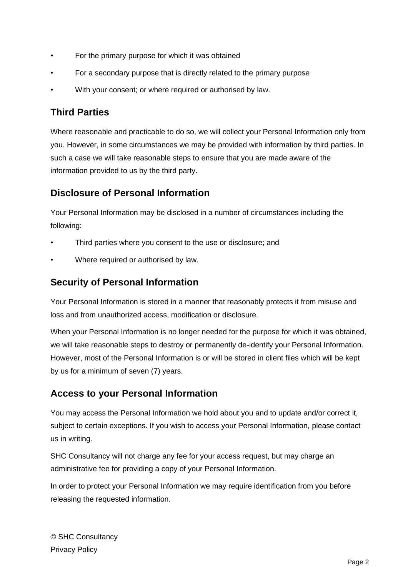- For the primary purpose for which it was obtained
- For a secondary purpose that is directly related to the primary purpose
- With your consent; or where required or authorised by law.

### **Third Parties**

Where reasonable and practicable to do so, we will collect your Personal Information only from you. However, in some circumstances we may be provided with information by third parties. In such a case we will take reasonable steps to ensure that you are made aware of the information provided to us by the third party.

#### **Disclosure of Personal Information**

Your Personal Information may be disclosed in a number of circumstances including the following:

- Third parties where you consent to the use or disclosure; and
- Where required or authorised by law.

#### **Security of Personal Information**

Your Personal Information is stored in a manner that reasonably protects it from misuse and loss and from unauthorized access, modification or disclosure.

When your Personal Information is no longer needed for the purpose for which it was obtained, we will take reasonable steps to destroy or permanently de-identify your Personal Information. However, most of the Personal Information is or will be stored in client files which will be kept by us for a minimum of seven (7) years.

#### **Access to your Personal Information**

You may access the Personal Information we hold about you and to update and/or correct it, subject to certain exceptions. If you wish to access your Personal Information, please contact us in writing.

SHC Consultancy will not charge any fee for your access request, but may charge an administrative fee for providing a copy of your Personal Information.

In order to protect your Personal Information we may require identification from you before releasing the requested information.